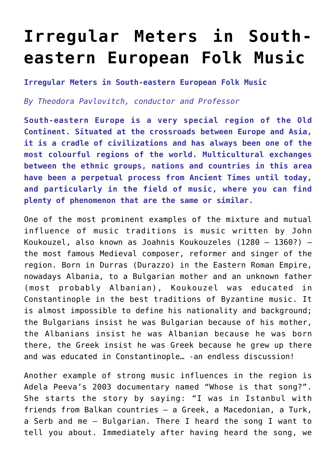## **[Irregular Meters in South](http://icb.ifcm.net/irregular-meters-in-south-eastern-european-folk-music/)[eastern European Folk Music](http://icb.ifcm.net/irregular-meters-in-south-eastern-european-folk-music/)**

**Irregular Meters in South-eastern European Folk Music**

*By Theodora Pavlovitch, conductor and Professor*

**South-eastern Europe is a very special region of the Old Continent. Situated at the crossroads between Europe and Asia, it is a cradle of civilizations and has always been one of the most colourful regions of the world. Multicultural exchanges between the ethnic groups, nations and countries in this area have been a perpetual process from Ancient Times until today, and particularly in the field of music, where you can find plenty of phenomenon that are the same or similar.**

One of the most prominent examples of the mixture and mutual influence of music traditions is music written by John Koukouzel, also known as Joahnis Koukouzeles (1280 – 1360?) – the most famous Medieval composer, reformer and singer of the region. Born in Durras (Durazzo) in the Eastern Roman Empire, nowadays Albania, to a Bulgarian mother and an unknown father (most probably Albanian), Koukouzel was educated in Constantinople in the best traditions of Byzantine music. It is almost impossible to define his nationality and background; the Bulgarians insist he was Bulgarian because of his mother, the Albanians insist he was Albanian because he was born there, the Greek insist he was Greek because he grew up there and was educated in Constantinople… -an endless discussion!

Another example of strong music influences in the region is Adela Peeva's 2003 documentary named "Whose is that song?". She starts the story by saying: "I was in Istanbul with friends from Balkan countries – a Greek, a Macedonian, a Turk, a Serb and me – Bulgarian. There I heard the song I want to tell you about. Immediately after having heard the song, we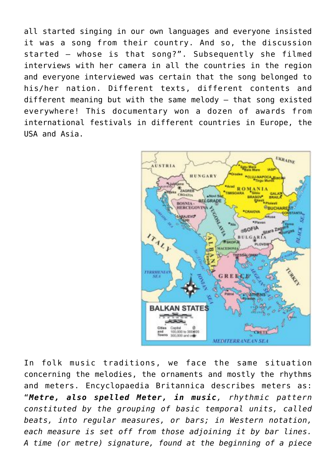all started singing in our own languages and everyone insisted it was a song from their country. And so, the discussion started – whose is that song?". Subsequently she filmed interviews with her camera in all the countries in the region and everyone interviewed was certain that the song belonged to his/her nation. Different texts, different contents and different meaning but with the same melody – that song existed everywhere! This documentary won a dozen of awards from international festivals in different countries in Europe, the USA and Asia.



In folk music traditions, we face the same situation concerning the melodies, the ornaments and mostly the rhythms and meters. Encyclopaedia Britannica describes meters as: "*Metre, also spelled Meter, in music, rhythmic pattern constituted by the grouping of basic temporal units, called beats, into regular measures, or bars; in Western notation, each measure is set off from those adjoining it by bar lines. A time (or metre) signature, found at the beginning of a piece*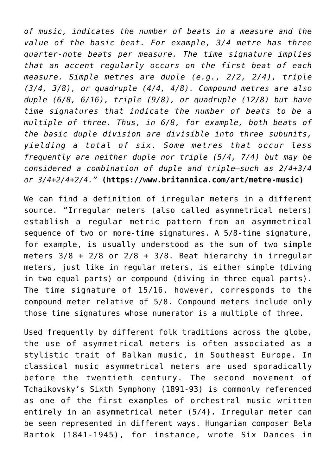*of music, indicates the number of beats in a measure and the value of the basic beat. For example, 3/4 metre has three quarter-note beats per measure. The time signature implies that an accent regularly occurs on the first beat of each measure. Simple metres are duple (e.g., 2/2, 2/4), triple (3/4, 3/8), or quadruple (4/4, 4/8). Compound metres are also duple (6/8, 6/16), triple (9/8), or quadruple (12/8) but have time signatures that indicate the number of beats to be a multiple of three. Thus, in 6/8, for example, both beats of the basic duple division are divisible into three subunits, yielding a total of six. Some metres that occur less frequently are neither duple nor triple (5/4, 7/4) but may be considered a combination of duple and triple—such as 2/4+3/4 or 3/4+2/4+2/4."* **(<https://www.britannica.com/art/metre-music>)**

We can find a definition of irregular meters in a different source. "Irregular meters (also called asymmetrical meters) establish a regular metric pattern from an asymmetrical sequence of two or more-time signatures. A 5/8-time signature, for example, is usually understood as the sum of two simple meters  $3/8$  +  $2/8$  or  $2/8$  +  $3/8$ . Beat hierarchy in irregular meters, just like in regular meters, is either simple (diving in two equal parts) or compound (diving in three equal parts). The time signature of 15/16, however, corresponds to the compound meter relative of 5/8. Compound meters include only those time signatures whose numerator is a multiple of three.

Used frequently by different folk traditions across the globe, the use of asymmetrical meters is often associated as a stylistic trait of Balkan music, in Southeast Europe. In classical music asymmetrical meters are used sporadically before the twentieth century. The second movement of Tchaikovsky's Sixth Symphony (1891-93) is commonly referenced as one of the first examples of orchestral music written entirely in an asymmetrical meter (5/4**).** Irregular meter can be seen represented in different ways. Hungarian composer Bela Bartok (1841-1945), for instance, wrote Six Dances in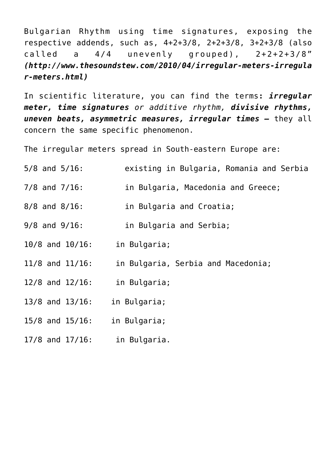Bulgarian Rhythm using time signatures, exposing the respective addends, such as, 4+2+3/8, 2+2+3/8, 3+2+3/8 (also called a 4/4 unevenly grouped), 2+2+2+3/8" *([http://www.thesoundstew.com/2010/04/irregular-meters-irregula](http://www.thesoundstew.com/2010/04/irregular-meters-irregular-meters.html) [r-meters.html](http://www.thesoundstew.com/2010/04/irregular-meters-irregular-meters.html))*

In scientific literature, you can find the terms**:** *irregular meter, time signatures or additive rhythm, divisive rhythms, uneven beats, asymmetric measures, irregular times –* they all concern the same specific phenomenon.

The irregular meters spread in South-eastern Europe are:

- 5/8 and 5/16: existing in Bulgaria, Romania and Serbia
- 7/8 and 7/16: in Bulgaria, Macedonia and Greece;
- 8/8 and 8/16: in Bulgaria and Croatia;
- 9/8 and 9/16: in Bulgaria and Serbia;
- 10/8 and 10/16: in Bulgaria;
- 11/8 and 11/16: in Bulgaria, Serbia and Macedonia;
- 12/8 and 12/16: in Bulgaria;
- 13/8 and 13/16: in Bulgaria;
- 15/8 and 15/16: in Bulgaria;
- 17/8 and 17/16: in Bulgaria.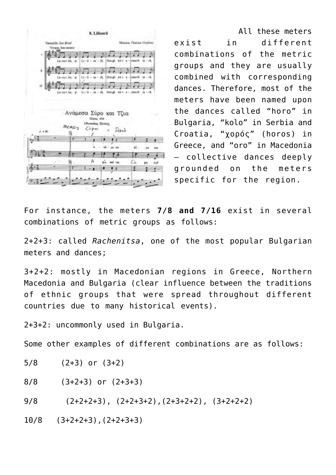

 All these meters exist in different combinations of the metric groups and they are usually combined with corresponding dances. Therefore, most of the meters have been named upon the dances called "horo" in Bulgaria, "kolo" in Serbia and Croatia, "χορός" (horos) in Greece, and "oro" in Macedonia – collective dances deeply grounded on the meters specific for the region.

For instance, the meters **7/8 and 7/16** exist in several combinations of metric groups as follows:

2+2+3: called *Rachenitsa*, one of the most popular Bulgarian meters and dances;

3+2+2: mostly in Macedonian regions in Greece, Northern Macedonia and Bulgaria (clear influence between the traditions of ethnic groups that were spread throughout different countries due to many historical events).

2+3+2: uncommonly used in Bulgaria.

Some other examples of different combinations are as follows:

- 5/8 (2+3) or (3+2)
- $8/8$   $(3+2+3)$  or  $(2+3+3)$

 $9/8$  (2+2+2+3), (2+2+3+2), (2+3+2+2), (3+2+2+2)

10/8 (3+2+2+3),(2+2+3+3)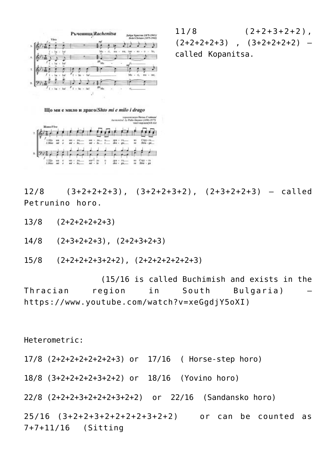

 $11/8$   $(2+2+3+2+2)$ ,  $(2+2+2+2+3)$  ,  $(3+2+2+2+2)$  – called Kopanitsa.



 $12/8$  (3+2+2+2+3), (3+2+2+3+2), (2+3+2+2+3) – called Petrunino horo.

13/8 (2+2+2+2+2+3)

14/8 (2+3+2+2+3), (2+2+3+2+3)

15/8 (2+2+2+2+3+2+2), (2+2+2+2+2+2+3)

 (15/16 is called Buchimish and exists in the Thracian region in South Bulgaria) – [https://www.youtube.com/watch?v=xeGgdjY5oXI\)](https://www.youtube.com/watch?v=xeGgdjY5oXI)

Heterometric:

17/8 (2+2+2+2+2+2+2+3) or 17/16 ( Horse-step horo)

18/8 (3+2+2+2+2+3+2+2) or 18/16 (Yovino horo)

22/8 (2+2+2+3+2+2+2+3+2+2) or 22/16 (Sandansko horo)

25/16 (3+2+2+3+2+2+2+2+3+2+2) or can be counted as 7+7+11/16 (Sitting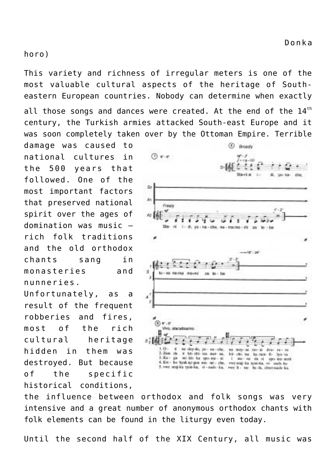horo)

This variety and richness of irregular meters is one of the most valuable cultural aspects of the heritage of Southeastern European countries. Nobody can determine when exactly

all those songs and dances were created. At the end of the 14<sup>th</sup> century, the Turkish armies attacked South-east Europe and it was soon completely taken over by the Ottoman Empire. Terrible

damage was caused to national cultures in the 500 years that followed. One of the most important factors that preserved national spirit over the ages of domination was music – rich folk traditions and the old orthodox chants sang in monasteries and nunneries.

Unfortunately, as a result of the frequent robberies and fires, most of the rich cultural heritage hidden in them was destroyed. But because of the specific historical conditions,



the influence between orthodox and folk songs was very intensive and a great number of anonymous orthodox chants with folk elements can be found in the liturgy even today.

Until the second half of the XIX Century, all music was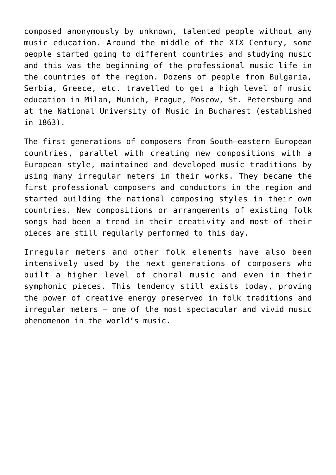composed anonymously by unknown, talented people without any music education. Around the middle of the XIX Century, some people started going to different countries and studying music and this was the beginning of the professional music life in the countries of the region. Dozens of people from Bulgaria, Serbia, Greece, etc. travelled to get a high level of music education in Milan, Munich, Prague, Moscow, St. Petersburg and at the National University of Music in Bucharest (established in 1863).

The first generations of composers from South–eastern European countries, parallel with creating new compositions with a European style, maintained and developed music traditions by using many irregular meters in their works. They became the first professional composers and conductors in the region and started building the national composing styles in their own countries. New compositions or arrangements of existing folk songs had been a trend in their creativity and most of their pieces are still regularly performed to this day.

Irregular meters and other folk elements have also been intensively used by the next generations of composers who built a higher level of choral music and even in their symphonic pieces. This tendency still exists today, proving the power of creative energy preserved in folk traditions and irregular meters – one of the most spectacular and vivid music phenomenon in the world's music.